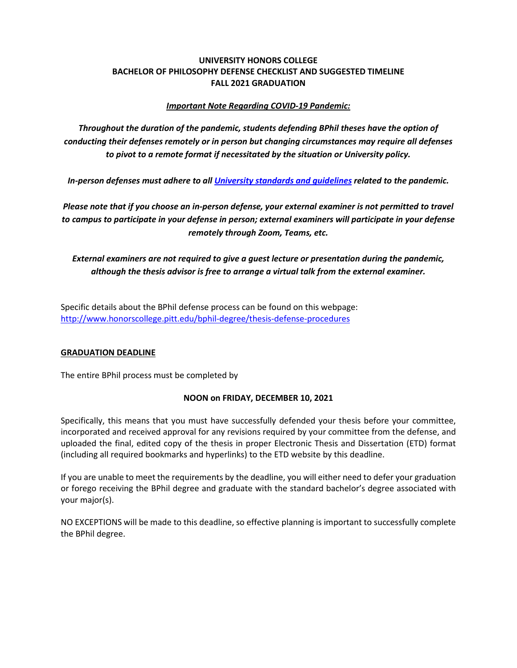# **UNIVERSITY HONORS COLLEGE BACHELOR OF PHILOSOPHY DEFENSE CHECKLIST AND SUGGESTED TIMELINE FALL 2021 GRADUATION**

# *Important Note Regarding COVID-19 Pandemic:*

*Throughout the duration of the pandemic, students defending BPhil theses have the option of conducting their defenses remotely or in person but changing circumstances may require all defenses to pivot to a remote format if necessitated by the situation or University policy.*

*In-person defenses must adhere to all [University standards and guidelines](https://www.coronavirus.pitt.edu/) related to the pandemic.*

*Please note that if you choose an in-person defense, your external examiner is not permitted to travel to campus to participate in your defense in person; external examiners will participate in your defense remotely through Zoom, Teams, etc.*

*External examiners are not required to give a guest lecture or presentation during the pandemic, although the thesis advisor is free to arrange a virtual talk from the external examiner.*

Specific details about the BPhil defense process can be found on this webpage: <http://www.honorscollege.pitt.edu/bphil-degree/thesis-defense-procedures>

# **GRADUATION DEADLINE**

The entire BPhil process must be completed by

# **NOON on FRIDAY, DECEMBER 10, 2021**

Specifically, this means that you must have successfully defended your thesis before your committee, incorporated and received approval for any revisions required by your committee from the defense, and uploaded the final, edited copy of the thesis in proper Electronic Thesis and Dissertation (ETD) format (including all required bookmarks and hyperlinks) to the ETD website by this deadline.

If you are unable to meet the requirements by the deadline, you will either need to defer your graduation or forego receiving the BPhil degree and graduate with the standard bachelor's degree associated with your major(s).

NO EXCEPTIONS will be made to this deadline, so effective planning is important to successfully complete the BPhil degree.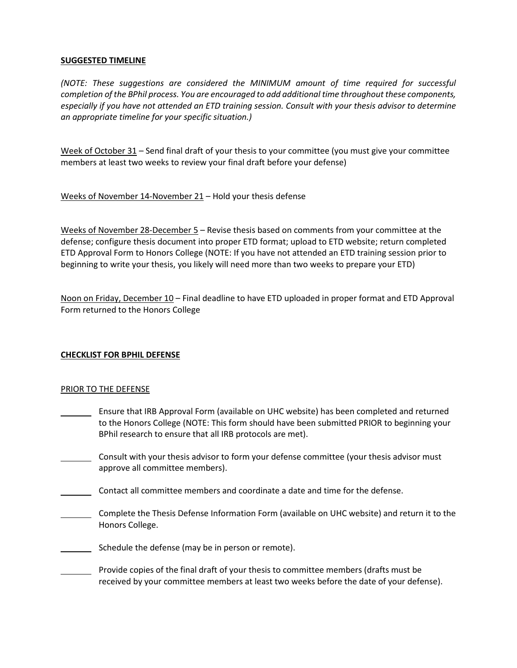### **SUGGESTED TIMELINE**

*(NOTE: These suggestions are considered the MINIMUM amount of time required for successful completion of the BPhil process. You are encouraged to add additional time throughout these components, especially if you have not attended an ETD training session. Consult with your thesis advisor to determine an appropriate timeline for your specific situation.)*

Week of October 31 – Send final draft of your thesis to your committee (you must give your committee members at least two weeks to review your final draft before your defense)

Weeks of November 14-November 21 – Hold your thesis defense

Weeks of November 28-December 5 – Revise thesis based on comments from your committee at the defense; configure thesis document into proper ETD format; upload to ETD website; return completed ETD Approval Form to Honors College (NOTE: If you have not attended an ETD training session prior to beginning to write your thesis, you likely will need more than two weeks to prepare your ETD)

Noon on Friday, December 10 – Final deadline to have ETD uploaded in proper format and ETD Approval Form returned to the Honors College

# **CHECKLIST FOR BPHIL DEFENSE**

#### PRIOR TO THE DEFENSE

- **Ensure that IRB Approval Form (available on UHC website) has been completed and returned** to the Honors College (NOTE: This form should have been submitted PRIOR to beginning your BPhil research to ensure that all IRB protocols are met).
- Consult with your thesis advisor to form your defense committee (your thesis advisor must approve all committee members).
- Contact all committee members and coordinate a date and time for the defense.
- Complete the Thesis Defense Information Form (available on UHC website) and return it to the Honors College.
- Schedule the defense (may be in person or remote).
- Provide copies of the final draft of your thesis to committee members (drafts must be received by your committee members at least two weeks before the date of your defense).